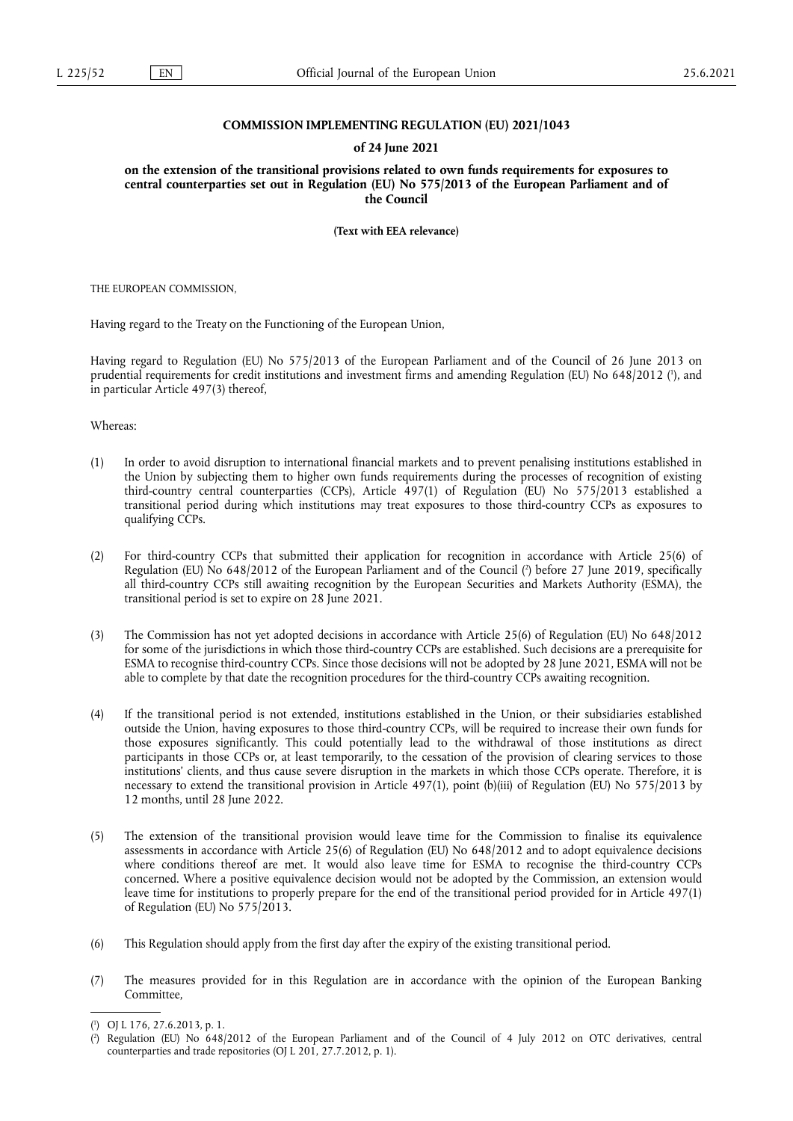## **COMMISSION IMPLEMENTING REGULATION (EU) 2021/1043**

## **of 24 June 2021**

**on the extension of the transitional provisions related to own funds requirements for exposures to central counterparties set out in Regulation (EU) No 575/2013 of the European Parliament and of the Council** 

**(Text with EEA relevance)** 

THE EUROPEAN COMMISSION,

Having regard to the Treaty on the Functioning of the European Union,

<span id="page-0-2"></span>Having regard to Regulation (EU) No 575/2013 of the European Parliament and of the Council of 26 June 2013 on prudential requirements for credit institutions and investment firms and amending Regulation (EU) No 648/2012 (<sup>1</sup>[\),](#page-0-0) and in particular Article 497(3) thereof,

Whereas:

- (1) In order to avoid disruption to international financial markets and to prevent penalising institutions established in the Union by subjecting them to higher own funds requirements during the processes of recognition of existing third-country central counterparties (CCPs), Article 497(1) of Regulation (EU) No 575/2013 established a transitional period during which institutions may treat exposures to those third-country CCPs as exposures to qualifying CCPs.
- <span id="page-0-3"></span>(2) For third-country CCPs that submitted their application for recognition in accordance with Article 25(6) of Regulation (EU) No 648/2012 of the European Parliament and of the Council [\(](#page-0-1) 2 ) before 27 June 2019, specifically all third-country CCPs still awaiting recognition by the European Securities and Markets Authority (ESMA), the transitional period is set to expire on 28 June 2021.
- (3) The Commission has not yet adopted decisions in accordance with Article 25(6) of Regulation (EU) No 648/2012 for some of the jurisdictions in which those third-country CCPs are established. Such decisions are a prerequisite for ESMA to recognise third-country CCPs. Since those decisions will not be adopted by 28 June 2021, ESMA will not be able to complete by that date the recognition procedures for the third-country CCPs awaiting recognition.
- (4) If the transitional period is not extended, institutions established in the Union, or their subsidiaries established outside the Union, having exposures to those third-country CCPs, will be required to increase their own funds for those exposures significantly. This could potentially lead to the withdrawal of those institutions as direct participants in those CCPs or, at least temporarily, to the cessation of the provision of clearing services to those institutions' clients, and thus cause severe disruption in the markets in which those CCPs operate. Therefore, it is necessary to extend the transitional provision in Article 497(1), point (b)(iii) of Regulation (EU) No 575/2013 by 12 months, until 28 June 2022.
- (5) The extension of the transitional provision would leave time for the Commission to finalise its equivalence assessments in accordance with Article 25(6) of Regulation (EU) No 648/2012 and to adopt equivalence decisions where conditions thereof are met. It would also leave time for ESMA to recognise the third-country CCPs concerned. Where a positive equivalence decision would not be adopted by the Commission, an extension would leave time for institutions to properly prepare for the end of the transitional period provided for in Article 497(1) of Regulation (EU) No 575/2013.
- (6) This Regulation should apply from the first day after the expiry of the existing transitional period.
- (7) The measures provided for in this Regulation are in accordance with the opinion of the European Banking Committee,

<span id="page-0-0"></span>[<sup>\(</sup>](#page-0-2) 1 ) OJ L 176, 27.6.2013, p. 1.

<span id="page-0-1"></span>[<sup>\(</sup>](#page-0-3) 2 ) Regulation (EU) No 648/2012 of the European Parliament and of the Council of 4 July 2012 on OTC derivatives, central counterparties and trade repositories (OJ L 201, 27.7.2012, p. 1).